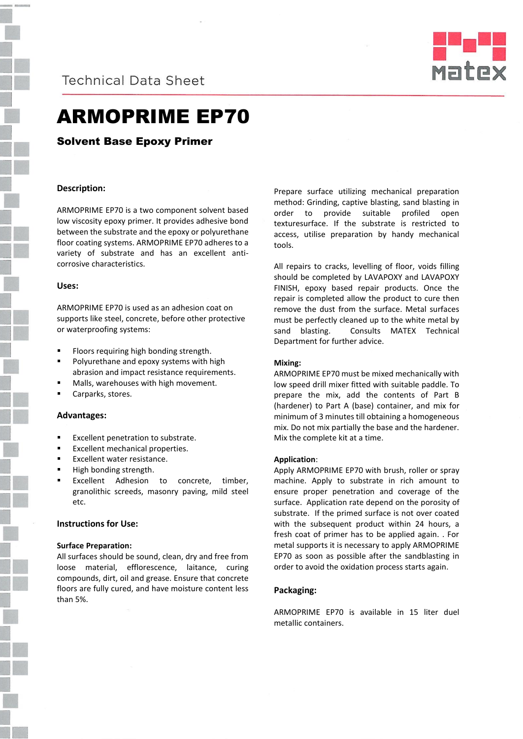# **Technical Data Sheet**



# ARMOPRIME EP70

Solvent Base Epoxy Primer

## **Description:**

ARMOPRIME EP70 is a two component solvent based low viscosity epoxy primer. It provides adhesive bond between the substrate and the epoxy or polyurethane floor coating systems. ARMOPRIME EP70 adheres to a variety of substrate and has an excellent anticorrosive characteristics.

#### **Uses:**

ARMOPRIME EP70 is used as an adhesion coat on supports like steel, concrete, before other protective or waterproofing systems:

- Floors requiring high bonding strength.
- Polyurethane and epoxy systems with high abrasion and impact resistance requirements.
- Malls, warehouses with high movement.
- Carparks, stores.

### **Advantages:**

- Excellent penetration to substrate.
- Excellent mechanical properties.
- Excellent water resistance.
- High bonding strength.
- Excellent Adhesion to concrete, timber, granolithic screeds, masonry paving, mild steel etc.

### **Instructions for Use:**

### **Surface Preparation:**

All surfaces should be sound, clean, dry and free from loose material, efflorescence, laitance, curing compounds, dirt, oil and grease. Ensure that concrete floors are fully cured, and have moisture content less than 5%.

Prepare surface utilizing mechanical preparation method: Grinding, captive blasting, sand blasting in order to provide suitable profiled open texturesurface. If the substrate is restricted to access, utilise preparation by handy mechanical tools.

All repairs to cracks, levelling of floor, voids filling should be completed by LAVAPOXY and LAVAPOXY FINISH, epoxy based repair products. Once the repair is completed allow the product to cure then remove the dust from the surface. Metal surfaces must be perfectly cleaned up to the white metal by sand blasting. Consults MATEX Technical Department for further advice.

### **Mixing:**

ARMOPRIME EP70 must be mixed mechanically with low speed drill mixer fitted with suitable paddle. To prepare the mix, add the contents of Part B (hardener) to Part A (base) container, and mix for minimum of 3 minutes till obtaining a homogeneous mix. Do not mix partially the base and the hardener. Mix the complete kit at a time.

### **Application**:

Apply ARMOPRIME EP70 with brush, roller or spray machine. Apply to substrate in rich amount to ensure proper penetration and coverage of the surface. Application rate depend on the porosity of substrate. If the primed surface is not over coated with the subsequent product within 24 hours, a fresh coat of primer has to be applied again. . For metal supports it is necessary to apply ARMOPRIME EP70 as soon as possible after the sandblasting in order to avoid the oxidation process starts again.

### **Packaging:**

ARMOPRIME EP70 is available in 15 liter duel metallic containers.